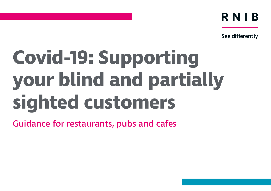RNIB

See differently

# **Covid-19: Supporting your blind and partially sighted customers**

Guidance for restaurants, pubs and cafes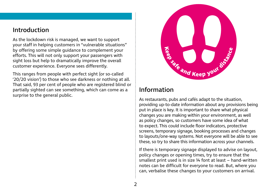## Introduction

As the lockdown risk is managed, we want to support your staff in helping customers in "vulnerable situations" by offering some simple guidance to complement your efforts. This will not only support your passengers with sight loss but help to dramatically improve the overall customer experience. Everyone sees differently.

This ranges from people with perfect sight (or so-called '20/20 vision') to those who see darkness or nothing at all. That said, 93 per cent of people who are registered blind or partially sighted can see something, which can come as a surprise to the general public.



## Information

As restaurants, pubs and cafés adapt to the situation, providing up-to-date information about any provisions being put in place is key. It is important to share what physical changes you are making within your environment, as well as policy changes, so customers have some idea of what to expect. This could include floor indicators, protective screens, temporary signage, booking processes and changes to layouts/one-way systems. Not everyone will be able to see these, so try to share this information across your channels.

If there is temporary signage displayed to advise on layout, policy changes or opening times, try to ensure that the smallest print used is in size 14 font at least – hand-written notes can be difficult for everyone to read. But, where you can, verbalise these changes to your customers on arrival.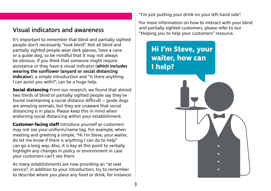# Visual indicators and awareness

It's important to remember that blind and partially sighted people don't necessarily "look blind". Not all blind and partially sighted people wear dark glasses, have a cane or a guide dog, so be mindful that it may not always be obvious. If you think that someone might require assistance or they have a visual indicator (**which includes wearing the sunflower lanyard or social distancing indicator**), a simple introduction and "Is there anything I can assist you with?", can be a huge help.

**Social distancing** From our research, we found that almost two thirds of blind or partially sighted people say they've found maintaining a social distance difficult – guide dogs are amazing animals, but they are unaware that social distancing is in place. Please keep this in mind when endorsing social distancing within your establishment.

**Customer-facing staff** Introduce yourself as customers may not see your uniform/name tag. For example, when meeting and greeting a simple, "Hi I'm Steve, your waiter, do let me know if there is anything I can do to help" can go a long way. Also, it is key at this point to verbally highlight any changes in policy or environment in case your customers can't see them.

As many establishments are now providing an "at seat service", in addition to your introduction, try to remember to describe where you place any food or drink, for instance: "I'm just putting your drink on your left-hand side".

For more information on how to interact with your blind and partially sighted customers, please refer to our "Helping you to help your customers" resource.

# **Hi I'm Steve, your waiter, how can I help?**

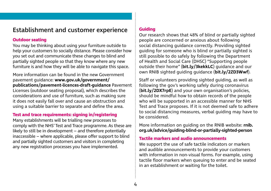## Establishment and customer experience

#### **Outdoor seating**

You may be thinking about using your furniture outside to help your customers to socially distance. Please consider how you set out and communicate these changes to blind and partially sighted people so that they know where any new furniture is and how they will be able to navigate this space.

More information can be found in the new Government pavement guidance: **[www.gov.uk/government/](http://www.gov.uk/government/ publications/pavement-licences-draft-guidance)  [publications/pavement-licences-draft-guidance](http://www.gov.uk/government/ publications/pavement-licences-draft-guidance)** Pavement Licenses (outdoor seating proposal), which describes the considerations and use of furniture, such as making sure it does not easily fall over and cause an obstruction and using a suitable barrier to separate and define the area.

#### **Test and trace requirements: signing in/registering**

Many establishments will be trialling new processes to comply with the NHS' Test and Trace programme. As these are likely to still be in development – and therefore potentially inaccessible – where applicable, please offer support to blind and partially sighted customers and visitors in completing any new registration processes you have implemented.

#### **Guiding**

Our research shows that 48% of blind or partially sighted people are concerned or anxious about following social distancing guidance correctly. Providing sighted guiding for someone who is blind or partially sighted is still possible to do safely by following the Department of Health and Social Care (DHSC) "Supporting people outside their home" (**[bit.ly/3kekkLC](https://bit.ly/3kekkLC)**) guidance and our own RNIB sighted guiding guidance (**[bit.ly/2ZD3Wwf](https://bit.ly/2ZD3Wwf)**).

Staff or volunteers providing sighted guiding, as well as following the gov's working safely during coronavirus (**[bit.ly/2DX7rpE](https://bit.ly/2DX7rpE)**) and your own organisation's policies, should be mindful how to obtain records of the people who will be supported in an accessible manner for NHS Test and Trace proposes. If it is not deemed safe to adhere to social distancing measures, verbal guiding may have to be considered.

More information on guiding on the RNIB website: **[rnib.](http://rnib.org.uk/advice/guiding-blind-or-partially-sighted-person) [org.uk/advice/guiding-blind-or-partially-sighted-person](http://rnib.org.uk/advice/guiding-blind-or-partially-sighted-person)**

#### **Tactile markers and audio announcements**

We support the use of safe tactile indicators or markers and audible announcements to provide your customers with information in non-visual forms. For example, using tactile floor markers when queuing to enter and be seated in an establishment or waiting for the toilet.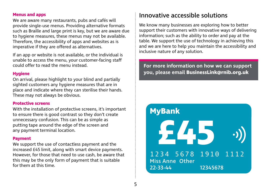#### **Menus and apps**

We are aware many restaurants, pubs and cafés will provide single-use menus. Providing alternative formats such as Braille and large print is key, but we are aware due to hygiene measures, these menus may not be available. Therefore, the accessibility of apps and websites as is imperative if they are offered as alternatives.

If an app or website is not available, or the individual is unable to access the menu, your customer-facing staff could offer to read the menu instead.

#### **Hygiene**

On arrival, please highlight to your blind and partially sighted customers any hygiene measures that are in place and indicate where they can sterilise their hands. These may not always be obvious.

#### **Protective screens**

With the installation of protective screens, it's important to ensure there is good contrast so they don't create unnecessary confusion. This can be as simple as putting tape around the edge of the screen and any payment terminal location.

#### **Payment**

We support the use of contactless payment and the increased £45 limit, along with smart device payments. However, for those that need to use cash, be aware that this may be the only form of payment that is suitable for them at this time.

# Innovative accessible solutions

We know many businesses are exploring how to better support their customers with innovative ways of delivering information; such as the ability to order and pay at the table. We support the use of technology in achieving this and we are here to help you maintain the accessibility and inclusive nature of any solution.

### **For more information on how we can support you, please email [BusinessLink@rnib.org.uk](mailto:BusinessLink@rnib.org.uk)**

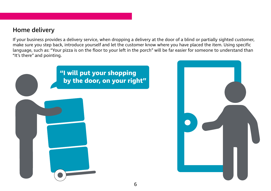# Home delivery

If your business provides a delivery service, when dropping a delivery at the door of a blind or partially sighted customer, make sure you step back, introduce yourself and let the customer know where you have placed the item. Using specific language, such as: "Your pizza is on the floor to your left in the porch" will be far easier for someone to understand than "It's there" and pointing.



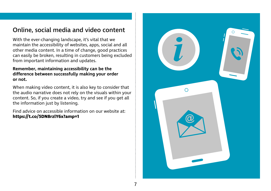# Online, social media and video content

With the ever-changing landscape, it's vital that we maintain the accessibility of websites, apps, social and all other media content. In a time of change, good practices can easily be broken, resulting in customers being excluded from important information and updates.

#### **Remember, maintaining accessibility can be the difference between successfully making your order or not.**

When making video content, it is also key to consider that the audio narrative does not rely on the visuals within your content. So, if you create a video, try and see if you get all the information just by listening.

Find advice on accessible information on our website at: **<https://t.co/5DN8rzlY6x?amp=1>**